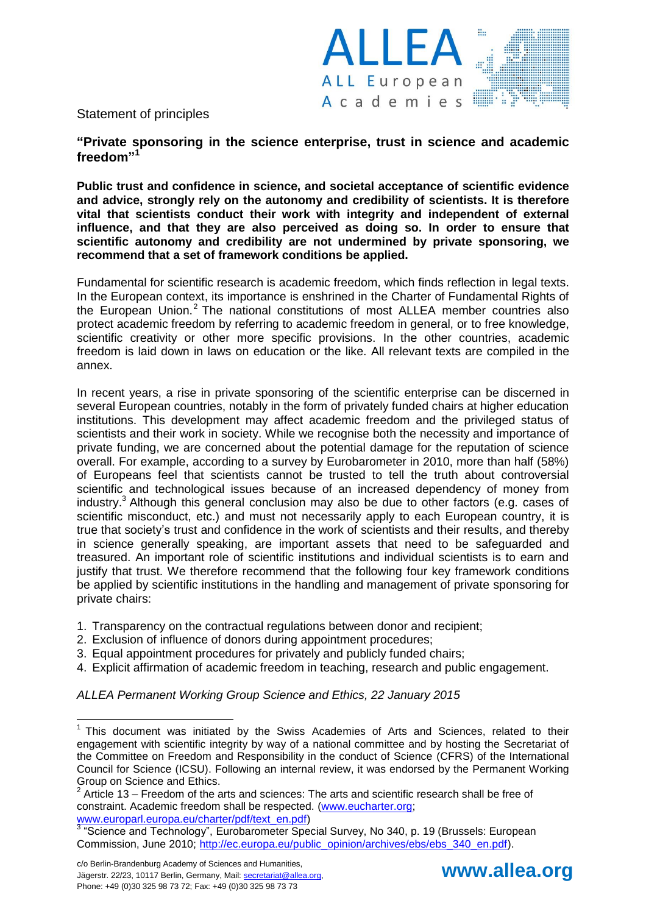

# Statement of principles

**"Private sponsoring in the science enterprise, trust in science and academic freedom" 1**

**Public trust and confidence in science, and societal acceptance of scientific evidence and advice, strongly rely on the autonomy and credibility of scientists. It is therefore vital that scientists conduct their work with integrity and independent of external influence, and that they are also perceived as doing so. In order to ensure that scientific autonomy and credibility are not undermined by private sponsoring, we recommend that a set of framework conditions be applied.**

Fundamental for scientific research is academic freedom, which finds reflection in legal texts. In the European context, its importance is enshrined in the Charter of Fundamental Rights of the European Union.<sup>2</sup> The national constitutions of most ALLEA member countries also protect academic freedom by referring to academic freedom in general, or to free knowledge, scientific creativity or other more specific provisions. In the other countries, academic freedom is laid down in laws on education or the like. All relevant texts are compiled in the annex.

In recent years, a rise in private sponsoring of the scientific enterprise can be discerned in several European countries, notably in the form of privately funded chairs at higher education institutions. This development may affect academic freedom and the privileged status of scientists and their work in society. While we recognise both the necessity and importance of private funding, we are concerned about the potential damage for the reputation of science overall. For example, according to a survey by Eurobarometer in 2010, more than half (58%) of Europeans feel that scientists cannot be trusted to tell the truth about controversial scientific and technological issues because of an increased dependency of money from industry.<sup>3</sup> Although this general conclusion may also be due to other factors (e.g. cases of scientific misconduct, etc.) and must not necessarily apply to each European country, it is true that society's trust and confidence in the work of scientists and their results, and thereby in science generally speaking, are important assets that need to be safeguarded and treasured. An important role of scientific institutions and individual scientists is to earn and justify that trust. We therefore recommend that the following four key framework conditions be applied by scientific institutions in the handling and management of private sponsoring for private chairs:

- 1. Transparency on the contractual regulations between donor and recipient;
- 2. Exclusion of influence of donors during appointment procedures;
- 3. Equal appointment procedures for privately and publicly funded chairs;
- 4. Explicit affirmation of academic freedom in teaching, research and public engagement.

*ALLEA Permanent Working Group Science and Ethics, 22 January 2015*

 $\overline{a}$ 



<sup>&</sup>lt;sup>1</sup> This document was initiated by the Swiss Academies of Arts and Sciences, related to their engagement with scientific integrity by way of a national committee and by hosting the Secretariat of the Committee on Freedom and Responsibility in the conduct of Science (CFRS) of the International Council for Science (ICSU). Following an internal review, it was endorsed by the Permanent Working Group on Science and Ethics.

<sup>2</sup> Article 13 – Freedom of the arts and sciences: The arts and scientific research shall be free of constraint. Academic freedom shall be respected. [\(www.eucharter.org;](http://www.eucharter.org/) [www.europarl.europa.eu/charter/pdf/text\\_en.pdf\)](http://www.europarl.europa.eu/charter/pdf/text_en.pdf)

<sup>&</sup>lt;sup>3</sup> "Science and Technology", Eurobarometer Special Survey, No 340, p. 19 (Brussels: European Commission, June 2010; [http://ec.europa.eu/public\\_opinion/archives/ebs/ebs\\_340\\_en.pdf\)](http://ec.europa.eu/public_opinion/archives/ebs/ebs_340_en.pdf).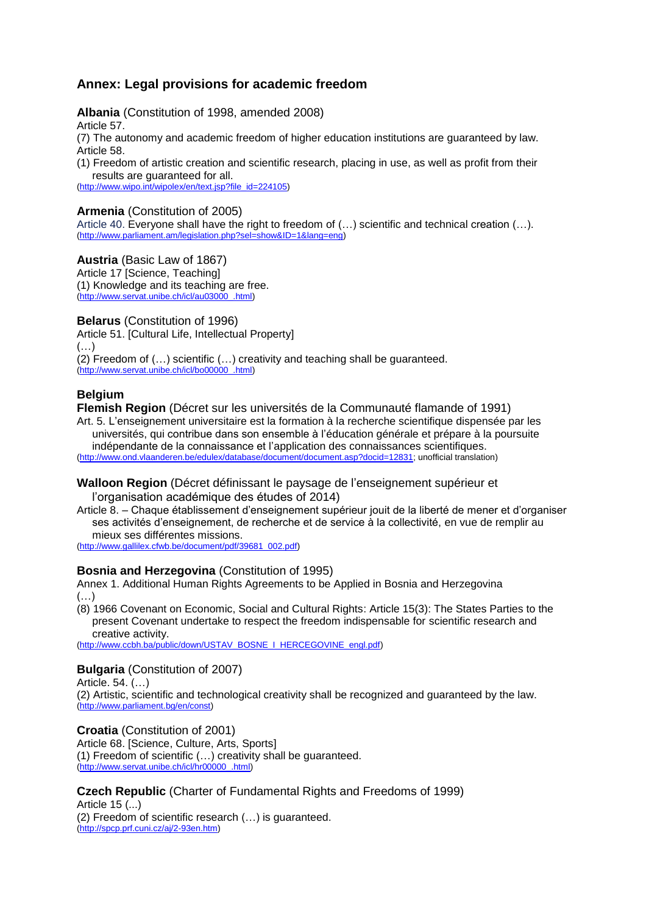# **Annex: Legal provisions for academic freedom**

**Albania** (Constitution of 1998, amended 2008)

Article 57.

(7) The autonomy and academic freedom of higher education institutions are guaranteed by law. Article 58.

(1) Freedom of artistic creation and scientific research, placing in use, as well as profit from their results are guaranteed for all.

[\(http://www.wipo.int/wipolex/en/text.jsp?file\\_id=224105\)](http://www.wipo.int/wipolex/en/text.jsp?file_id=224105)

## **Armenia** (Constitution of 2005)

Article 40. Everyone shall have the right to freedom of (…) scientific and technical creation (…). [\(http://www.parliament.am/legislation.php?sel=show&ID=1&lang=eng\)](http://www.parliament.am/legislation.php?sel=show&ID=1&lang=eng)

#### **Austria** (Basic Law of 1867)

Article 17 [Science, Teaching] (1) Knowledge and its teaching are free. [\(http://www.servat.unibe.ch/icl/au03000\\_.html\)](http://www.servat.unibe.ch/icl/au03000_.html)

**Belarus** (Constitution of 1996)

Article 51. [Cultural Life, Intellectual Property]  $(\ldots)$ (2) Freedom of (…) scientific (…) creativity and teaching shall be guaranteed.

[\(http://www.servat.unibe.ch/icl/bo00000\\_.html\)](http://www.servat.unibe.ch/icl/bo00000_.html)

## **Belgium**

**Flemish Region** (Décret sur les universités de la Communauté flamande of 1991) Art. 5. L'enseignement universitaire est la formation à la recherche scientifique dispensée par les

universités, qui contribue dans son ensemble à l'éducation générale et prépare à la poursuite indépendante de la connaissance et l'application des connaissances scientifiques. [\(http://www.ond.vlaanderen.be/edulex/database/document/document.asp?docid=12831;](http://www.ond.vlaanderen.be/edulex/database/document/document.asp?docid=12831) unofficial translation)

#### **Walloon Region** (Décret définissant le paysage de l'enseignement supérieur et l'organisation académique des études of 2014)

Article 8. – Chaque établissement d'enseignement supérieur jouit de la liberté de mener et d'organiser ses activités d'enseignement, de recherche et de service à la collectivité, en vue de remplir au mieux ses différentes missions.

[\(http://www.gallilex.cfwb.be/document/pdf/39681\\_002.pdf\)](http://www.gallilex.cfwb.be/document/pdf/39681_002.pdf)

# **Bosnia and Herzegovina** (Constitution of 1995)

Annex 1. Additional Human Rights Agreements to be Applied in Bosnia and Herzegovina (…)

(8) 1966 Covenant on Economic, Social and Cultural Rights: Article 15(3): The States Parties to the present Covenant undertake to respect the freedom indispensable for scientific research and creative activity.

[\(http://www.ccbh.ba/public/down/USTAV\\_BOSNE\\_I\\_HERCEGOVINE\\_engl.pdf\)](http://www.ccbh.ba/public/down/USTAV_BOSNE_I_HERCEGOVINE_engl.pdf)

# **Bulgaria** (Constitution of 2007)

Article. 54. (…)

(2) Artistic, scientific and technological creativity shall be recognized and guaranteed by the law. [\(http://www.parliament.bg/en/const\)](http://www.parliament.bg/en/const)

**Croatia** (Constitution of 2001)

Article 68. [Science, Culture, Arts, Sports] (1) Freedom of scientific (…) creativity shall be guaranteed. [\(http://www.servat.unibe.ch/icl/hr00000\\_.html\)](http://www.servat.unibe.ch/icl/hr00000_.html)

#### **Czech Republic** (Charter of Fundamental Rights and Freedoms of 1999) Article 15 (...)

(2) Freedom of scientific research (…) is guaranteed. [\(http://spcp.prf.cuni.cz/aj/2-93en.htm\)](http://spcp.prf.cuni.cz/aj/2-93en.htm)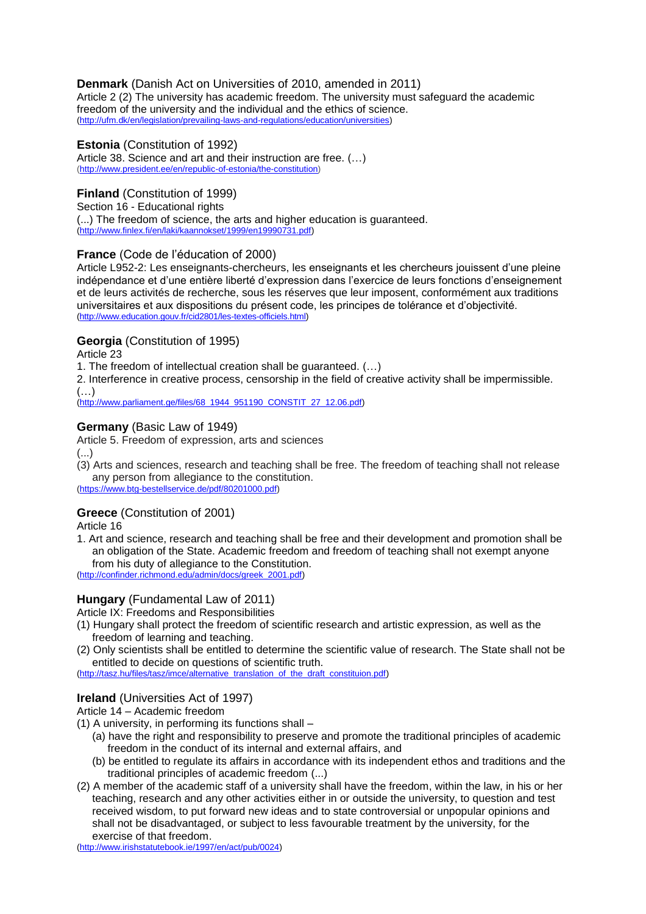## **Denmark** (Danish Act on Universities of 2010, amended in 2011)

Article 2 (2) The university has academic freedom. The university must safeguard the academic freedom of the university and the individual and the ethics of science. [\(http://ufm.dk/en/legislation/prevailing-laws-and-regulations/education/universities\)](http://ufm.dk/en/legislation/prevailing-laws-and-regulations/education/universities)

## **Estonia** (Constitution of 1992)

Article 38. Science and art and their instruction are free. (…) [\(http://www.president.ee/en/republic-of-estonia/the-constitution\)](http://www.president.ee/en/republic-of-estonia/the-constitution)

## **Finland** (Constitution of 1999)

Section 16 - Educational rights (...) The freedom of science, the arts and higher education is guaranteed. [\(http://www.finlex.fi/en/laki/kaannokset/1999/en19990731.pdf\)](http://www.finlex.fi/en/laki/kaannokset/1999/en19990731.pdf)

## **France** (Code de l'éducation of 2000)

Article L952-2: Les enseignants-chercheurs, les enseignants et les chercheurs jouissent d'une pleine indépendance et d'une entière liberté d'expression dans l'exercice de leurs fonctions d'enseignement et de leurs activités de recherche, sous les réserves que leur imposent, conformément aux traditions universitaires et aux dispositions du présent code, les principes de tolérance et d'objectivité. [\(http://www.education.gouv.fr/cid2801/les-textes-officiels.html\)](http://www.education.gouv.fr/cid2801/les-textes-officiels.html)

## **Georgia** (Constitution of 1995)

Article 23

1. The freedom of intellectual creation shall be guaranteed. (…)

2. Interference in creative process, censorship in the field of creative activity shall be impermissible. (…)

[\(http://www.parliament.ge/files/68\\_1944\\_951190\\_CONSTIT\\_27\\_12.06.pdf\)](http://www.parliament.ge/files/68_1944_951190_CONSTIT_27_12.06.pdf)

## **Germany** (Basic Law of 1949)

Article 5. Freedom of expression, arts and sciences

(...)

(3) Arts and sciences, research and teaching shall be free. The freedom of teaching shall not release any person from allegiance to the constitution.

[\(https://www.btg-bestellservice.de/pdf/80201000.pdf\)](https://www.btg-bestellservice.de/pdf/80201000.pdf)

#### **Greece** (Constitution of 2001)

Article 16

1. Art and science, research and teaching shall be free and their development and promotion shall be an obligation of the State. Academic freedom and freedom of teaching shall not exempt anyone from his duty of allegiance to the Constitution.

[\(http://confinder.richmond.edu/admin/docs/greek\\_2001.pdf\)](http://confinder.richmond.edu/admin/docs/greek_2001.pdf)

# **Hungary** (Fundamental Law of 2011)

Article IX: Freedoms and Responsibilities

- (1) Hungary shall protect the freedom of scientific research and artistic expression, as well as the freedom of learning and teaching.
- (2) Only scientists shall be entitled to determine the scientific value of research. The State shall not be entitled to decide on questions of scientific truth.

[\(http://tasz.hu/files/tasz/imce/alternative\\_translation\\_of\\_the\\_draft\\_constituion.pdf\)](http://tasz.hu/files/tasz/imce/alternative_translation_of_the_draft_constituion.pdf)

#### **Ireland** (Universities Act of 1997)

Article 14 – Academic freedom

- (1) A university, in performing its functions shall
	- (a) have the right and responsibility to preserve and promote the traditional principles of academic freedom in the conduct of its internal and external affairs, and
	- (b) be entitled to regulate its affairs in accordance with its independent ethos and traditions and the traditional principles of academic freedom (...)
- (2) A member of the academic staff of a university shall have the freedom, within the law, in his or her teaching, research and any other activities either in or outside the university, to question and test received wisdom, to put forward new ideas and to state controversial or unpopular opinions and shall not be disadvantaged, or subject to less favourable treatment by the university, for the exercise of that freedom.

[\(http://www.irishstatutebook.ie/1997/en/act/pub/0024\)](http://www.irishstatutebook.ie/1997/en/act/pub/0024)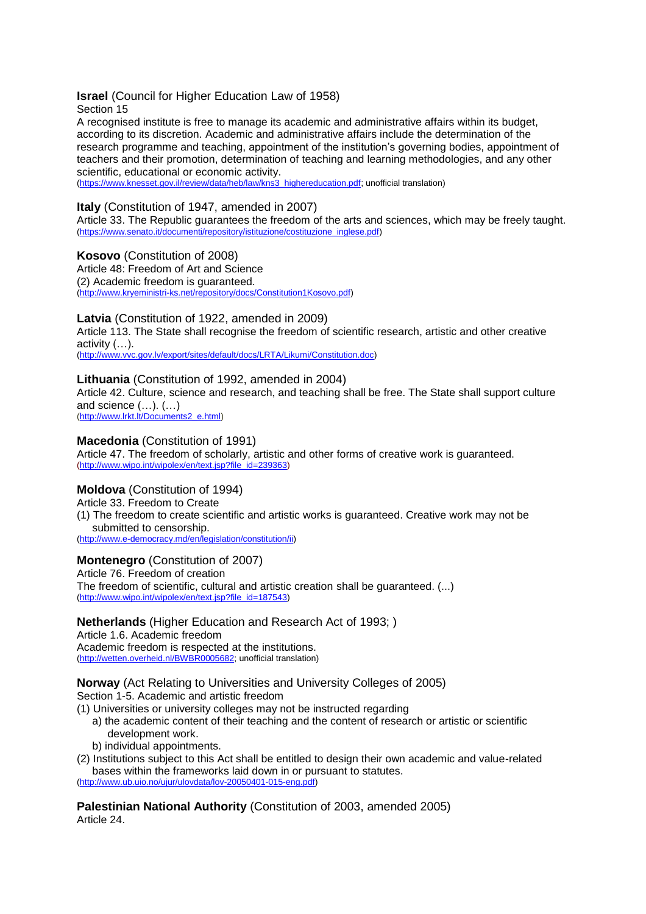# **Israel** (Council for Higher Education Law of 1958)

Section 15

A recognised institute is free to manage its academic and administrative affairs within its budget, according to its discretion. Academic and administrative affairs include the determination of the research programme and teaching, appointment of the institution's governing bodies, appointment of teachers and their promotion, determination of teaching and learning methodologies, and any other scientific, educational or economic activity.

[\(https://www.knesset.gov.il/review/data/heb/law/kns3\\_highereducation.pdf;](https://www.knesset.gov.il/review/data/heb/law/kns3_highereducation.pdf) unofficial translation)

# **Italy** (Constitution of 1947, amended in 2007)

Article 33. The Republic guarantees the freedom of the arts and sciences, which may be freely taught. [\(https://www.senato.it/documenti/repository/istituzione/costituzione\\_inglese.pdf\)](https://www.senato.it/documenti/repository/istituzione/costituzione_inglese.pdf)

## **Kosovo** (Constitution of 2008)

Article 48: Freedom of Art and Science (2) Academic freedom is guaranteed. [\(http://www.kryeministri-ks.net/repository/docs/Constitution1Kosovo.pdf\)](http://www.kryeministri-ks.net/repository/docs/Constitution1Kosovo.pdf)

## **Latvia** (Constitution of 1922, amended in 2009)

Article 113. The State shall recognise the freedom of scientific research, artistic and other creative activity (…).

[\(http://www.vvc.gov.lv/export/sites/default/docs/LRTA/Likumi/Constitution.doc\)](http://www.vvc.gov.lv/export/sites/default/docs/LRTA/Likumi/Constitution.doc)

#### **Lithuania** (Constitution of 1992, amended in 2004)

Article 42. Culture, science and research, and teaching shall be free. The State shall support culture and science (…). (…)

[\(http://www.lrkt.lt/Documents2\\_e.html\)](http://www.lrkt.lt/Documents2_e.html)

## **Macedonia** (Constitution of 1991)

Article 47. The freedom of scholarly, artistic and other forms of creative work is guaranteed. [\(http://www.wipo.int/wipolex/en/text.jsp?file\\_id=239363\)](http://www.wipo.int/wipolex/en/text.jsp?file_id=239363)

# **Moldova** (Constitution of 1994)

Article 33. Freedom to Create (1) The freedom to create scientific and artistic works is guaranteed. Creative work may not be submitted to censorship.

[\(http://www.e-democracy.md/en/legislation/constitution/ii\)](http://www.e-democracy.md/en/legislation/constitution/ii)

# **Montenegro** (Constitution of 2007)

Article 76. Freedom of creation The freedom of scientific, cultural and artistic creation shall be guaranteed. (...) [\(http://www.wipo.int/wipolex/en/text.jsp?file\\_id=187543\)](http://www.wipo.int/wipolex/en/text.jsp?file_id=187543)

# **Netherlands** (Higher Education and Research Act of 1993; )

Article 1.6. Academic freedom Academic freedom is respected at the institutions. [\(http://wetten.overheid.nl/BWBR0005682;](http://wetten.overheid.nl/BWBR0005682/geldigheidsdatum_30-06-2014) unofficial translation)

**Norway** (Act Relating to Universities and University Colleges of 2005) Section 1-5. Academic and artistic freedom

(1) Universities or university colleges may not be instructed regarding

- a) the academic content of their teaching and the content of research or artistic or scientific development work.
- b) individual appointments.
- (2) Institutions subject to this Act shall be entitled to design their own academic and value-related bases within the frameworks laid down in or pursuant to statutes. [\(http://www.ub.uio.no/ujur/ulovdata/lov-20050401-015-eng.pdf\)](http://www.ub.uio.no/ujur/ulovdata/lov-20050401-015-eng.pdf)

**Palestinian National Authority** (Constitution of 2003, amended 2005) Article 24.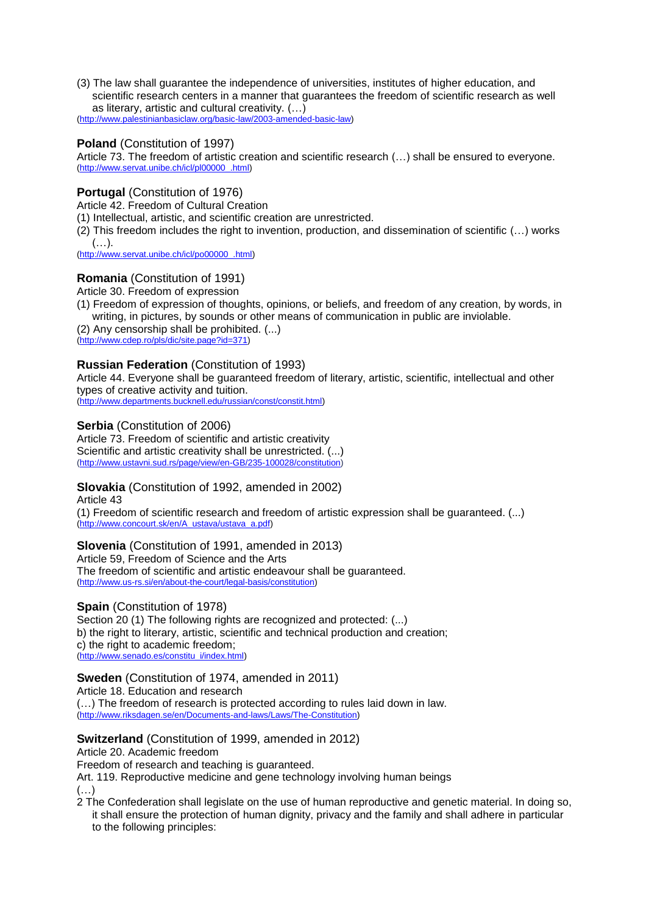(3) The law shall guarantee the independence of universities, institutes of higher education, and scientific research centers in a manner that guarantees the freedom of scientific research as well as literary, artistic and cultural creativity. (…) [\(http://www.palestinianbasiclaw.org/basic-law/2003-amended-basic-law\)](http://www.palestinianbasiclaw.org/basic-law/2003-amended-basic-law)

## **Poland** (Constitution of 1997)

Article 73. The freedom of artistic creation and scientific research (…) shall be ensured to everyone. [\(http://www.servat.unibe.ch/icl/pl00000\\_.html\)](http://www.servat.unibe.ch/icl/pl00000_.html)

## **Portugal** (Constitution of 1976)

Article 42. Freedom of Cultural Creation

(1) Intellectual, artistic, and scientific creation are unrestricted.

(2) This freedom includes the right to invention, production, and dissemination of scientific (…) works (…).

[\(http://www.servat.unibe.ch/icl/po00000\\_.html\)](http://www.servat.unibe.ch/icl/po00000_.html)

#### **Romania** (Constitution of 1991)

Article 30. Freedom of expression

(1) Freedom of expression of thoughts, opinions, or beliefs, and freedom of any creation, by words, in writing, in pictures, by sounds or other means of communication in public are inviolable.

(2) Any censorship shall be prohibited. (...) [\(http://www.cdep.ro/pls/dic/site.page?id=371\)](http://www.cdep.ro/pls/dic/site.page?id=371)

## **Russian Federation** (Constitution of 1993)

Article 44. Everyone shall be guaranteed freedom of literary, artistic, scientific, intellectual and other types of creative activity and tuition.

[\(http://www.departments.bucknell.edu/russian/const/constit.html\)](http://www.departments.bucknell.edu/russian/const/constit.html)

#### **Serbia** (Constitution of 2006)

Article 73. Freedom of scientific and artistic creativity Scientific and artistic creativity shall be unrestricted. (...) [\(http://www.ustavni.sud.rs/page/view/en-GB/235-100028/constitution\)](http://www.ustavni.sud.rs/page/view/en-GB/235-100028/constitution)

#### **Slovakia** (Constitution of 1992, amended in 2002)

Article 43

(1) Freedom of scientific research and freedom of artistic expression shall be guaranteed. (...) [\(http://www.concourt.sk/en/A\\_ustava/ustava\\_a.pdf\)](http://www.concourt.sk/en/A_ustava/ustava_a.pdf)

#### **Slovenia** (Constitution of 1991, amended in 2013)

Article 59, Freedom of Science and the Arts The freedom of scientific and artistic endeavour shall be guaranteed. [\(http://www.us-rs.si/en/about-the-court/legal-basis/constitution\)](http://www.us-rs.si/en/about-the-court/legal-basis/constitution)

#### **Spain** (Constitution of 1978)

Section 20 (1) The following rights are recognized and protected: (...) b) the right to literary, artistic, scientific and technical production and creation; c) the right to academic freedom; [\(http://www.senado.es/constitu\\_i/index.html\)](http://www.senado.es/constitu_i/index.html)

#### **Sweden** (Constitution of 1974, amended in 2011)

Article 18. Education and research

(…) The freedom of research is protected according to rules laid down in law. [\(http://www.riksdagen.se/en/Documents-and-laws/Laws/The-Constitution\)](http://www.riksdagen.se/en/Documents-and-laws/Laws/The-Constitution)

#### **Switzerland** (Constitution of 1999, amended in 2012)

Article 20. Academic freedom

Freedom of research and teaching is guaranteed.

Art. 119. Reproductive medicine and gene technology involving human beings (…)

2 The Confederation shall legislate on the use of human reproductive and genetic material. In doing so, it shall ensure the protection of human dignity, privacy and the family and shall adhere in particular to the following principles: